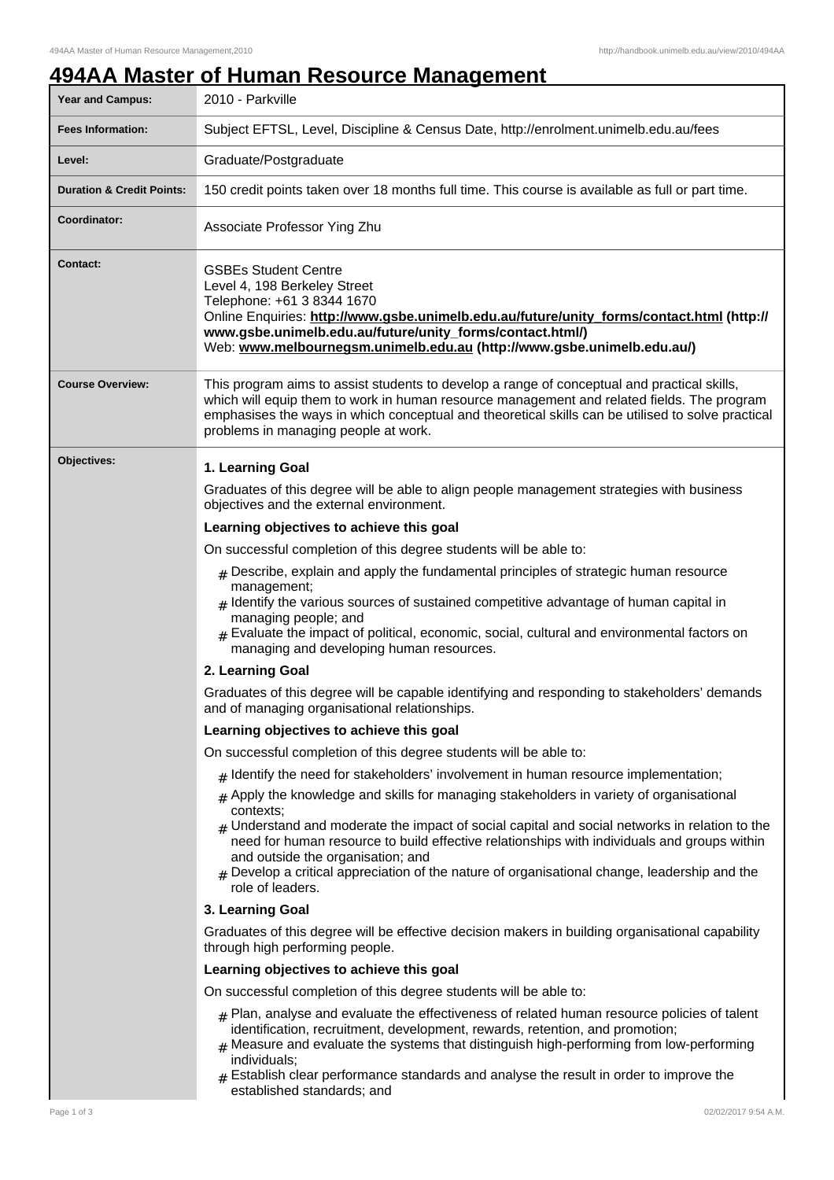# **494AA Master of Human Resource Management**

| <b>Year and Campus:</b>              | 2010 - Parkville                                                                                                                                                                                                                                                                                                                                                                                                                                                         |
|--------------------------------------|--------------------------------------------------------------------------------------------------------------------------------------------------------------------------------------------------------------------------------------------------------------------------------------------------------------------------------------------------------------------------------------------------------------------------------------------------------------------------|
| <b>Fees Information:</b>             | Subject EFTSL, Level, Discipline & Census Date, http://enrolment.unimelb.edu.au/fees                                                                                                                                                                                                                                                                                                                                                                                     |
| Level:                               | Graduate/Postgraduate                                                                                                                                                                                                                                                                                                                                                                                                                                                    |
| <b>Duration &amp; Credit Points:</b> | 150 credit points taken over 18 months full time. This course is available as full or part time.                                                                                                                                                                                                                                                                                                                                                                         |
| Coordinator:                         | Associate Professor Ying Zhu                                                                                                                                                                                                                                                                                                                                                                                                                                             |
| <b>Contact:</b>                      | <b>GSBEs Student Centre</b><br>Level 4, 198 Berkeley Street<br>Telephone: +61 3 8344 1670<br>Online Enquiries: http://www.gsbe.unimelb.edu.au/future/unity_forms/contact.html (http://<br>www.gsbe.unimelb.edu.au/future/unity_forms/contact.html/)<br>Web: www.melbournegsm.unimelb.edu.au (http://www.gsbe.unimelb.edu.au/)                                                                                                                                            |
| <b>Course Overview:</b>              | This program aims to assist students to develop a range of conceptual and practical skills,<br>which will equip them to work in human resource management and related fields. The program<br>emphasises the ways in which conceptual and theoretical skills can be utilised to solve practical<br>problems in managing people at work.                                                                                                                                   |
| Objectives:                          | 1. Learning Goal                                                                                                                                                                                                                                                                                                                                                                                                                                                         |
|                                      | Graduates of this degree will be able to align people management strategies with business<br>objectives and the external environment.                                                                                                                                                                                                                                                                                                                                    |
|                                      | Learning objectives to achieve this goal                                                                                                                                                                                                                                                                                                                                                                                                                                 |
|                                      | On successful completion of this degree students will be able to:                                                                                                                                                                                                                                                                                                                                                                                                        |
|                                      | $#$ Describe, explain and apply the fundamental principles of strategic human resource<br>management;<br>$*$ Identify the various sources of sustained competitive advantage of human capital in<br>managing people; and<br>$#$ Evaluate the impact of political, economic, social, cultural and environmental factors on<br>managing and developing human resources.                                                                                                    |
|                                      | 2. Learning Goal                                                                                                                                                                                                                                                                                                                                                                                                                                                         |
|                                      | Graduates of this degree will be capable identifying and responding to stakeholders' demands<br>and of managing organisational relationships.                                                                                                                                                                                                                                                                                                                            |
|                                      | Learning objectives to achieve this goal                                                                                                                                                                                                                                                                                                                                                                                                                                 |
|                                      | On successful completion of this degree students will be able to:                                                                                                                                                                                                                                                                                                                                                                                                        |
|                                      | $_{\#}$ Identify the need for stakeholders' involvement in human resource implementation;                                                                                                                                                                                                                                                                                                                                                                                |
|                                      | Apply the knowledge and skills for managing stakeholders in variety of organisational<br>#<br>contexts;<br>$#$ Understand and moderate the impact of social capital and social networks in relation to the<br>need for human resource to build effective relationships with individuals and groups within<br>and outside the organisation; and<br>$_{\#}$ Develop a critical appreciation of the nature of organisational change, leadership and the<br>role of leaders. |
|                                      | 3. Learning Goal                                                                                                                                                                                                                                                                                                                                                                                                                                                         |
|                                      | Graduates of this degree will be effective decision makers in building organisational capability<br>through high performing people.                                                                                                                                                                                                                                                                                                                                      |
|                                      | Learning objectives to achieve this goal                                                                                                                                                                                                                                                                                                                                                                                                                                 |
|                                      | On successful completion of this degree students will be able to:                                                                                                                                                                                                                                                                                                                                                                                                        |
|                                      | $_{\#}$ Plan, analyse and evaluate the effectiveness of related human resource policies of talent<br>identification, recruitment, development, rewards, retention, and promotion;<br>$_{\rm H}$ Measure and evaluate the systems that distinguish high-performing from low-performing<br>individuals;                                                                                                                                                                    |
|                                      | $#$ Establish clear performance standards and analyse the result in order to improve the<br>established standards; and                                                                                                                                                                                                                                                                                                                                                   |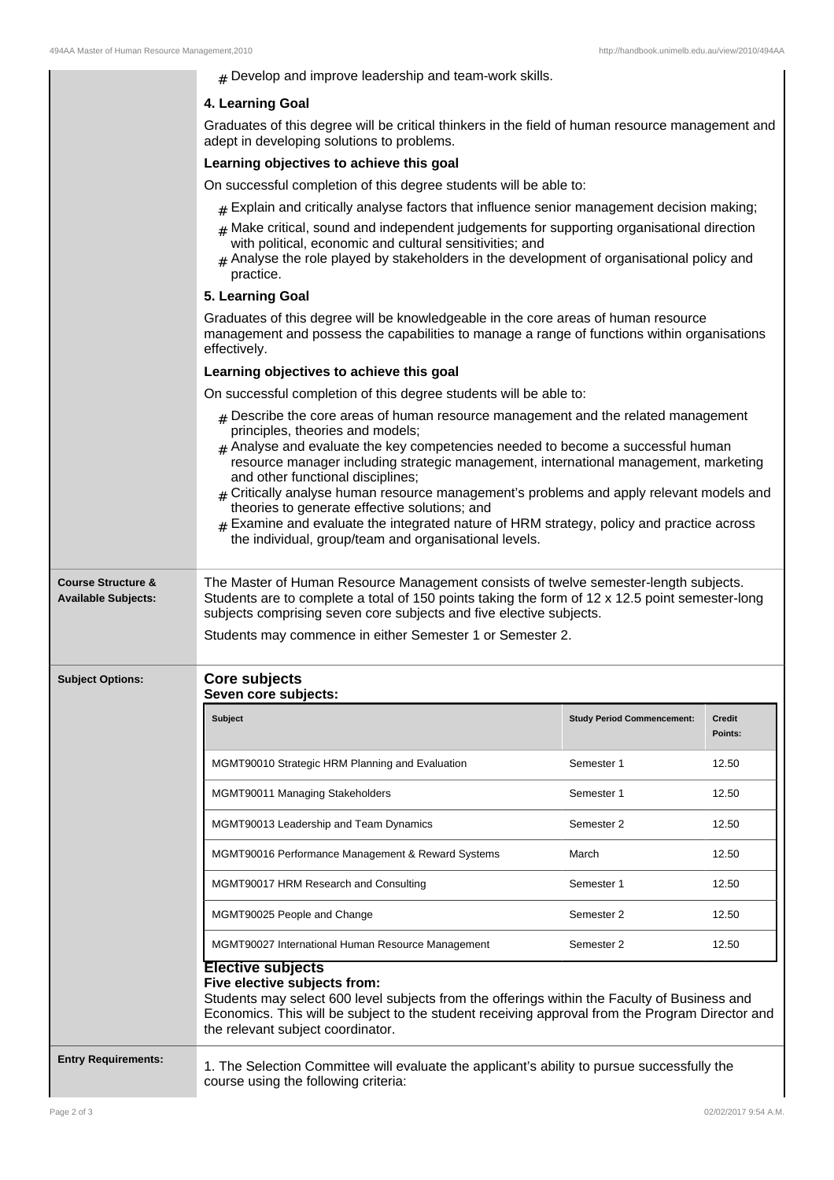| $#$ Develop and improve leadership and team-work skills. |  |  |
|----------------------------------------------------------|--|--|
|----------------------------------------------------------|--|--|

### **4. Learning Goal**

Graduates of this degree will be critical thinkers in the field of human resource management and adept in developing solutions to problems.

#### **Learning objectives to achieve this goal**

On successful completion of this degree students will be able to:

- $#$  Explain and critically analyse factors that influence senior management decision making;
- $#$  Make critical, sound and independent judgements for supporting organisational direction with political, economic and cultural sensitivities; and
- $#$  Analyse the role played by stakeholders in the development of organisational policy and practice.

#### **5. Learning Goal**

Graduates of this degree will be knowledgeable in the core areas of human resource management and possess the capabilities to manage a range of functions within organisations effectively.

# **Learning objectives to achieve this goal**

On successful completion of this degree students will be able to:

- $#$  Describe the core areas of human resource management and the related management principles, theories and models;
- $#$  Analyse and evaluate the key competencies needed to become a successful human resource manager including strategic management, international management, marketing and other functional disciplines;
- $#$  Critically analyse human resource management's problems and apply relevant models and theories to generate effective solutions; and
- $#$  Examine and evaluate the integrated nature of HRM strategy, policy and practice across the individual, group/team and organisational levels.

**Course Structure & Available Subjects:** The Master of Human Resource Management consists of twelve semester-length subjects. Students are to complete a total of 150 points taking the form of 12 x 12.5 point semester-long subjects comprising seven core subjects and five elective subjects.

# Students may commence in either Semester 1 or Semester 2.

#### **Subject Options: Core subjects Seven core subjects:**

| <b>Subject</b>                                    | <b>Study Period Commencement:</b> | <b>Credit</b><br>Points: |
|---------------------------------------------------|-----------------------------------|--------------------------|
| MGMT90010 Strategic HRM Planning and Evaluation   | Semester 1                        | 12.50                    |
| MGMT90011 Managing Stakeholders                   | Semester 1                        | 12.50                    |
| MGMT90013 Leadership and Team Dynamics            | Semester 2                        | 12.50                    |
| MGMT90016 Performance Management & Reward Systems | March                             | 12.50                    |
| MGMT90017 HRM Research and Consulting             | Semester 1                        | 12.50                    |
| MGMT90025 People and Change                       | Semester 2                        | 12.50                    |
| MGMT90027 International Human Resource Management | Semester 2                        | 12.50                    |

# **Five elective subjects from:**

Students may select 600 level subjects from the offerings within the Faculty of Business and Economics. This will be subject to the student receiving approval from the Program Director and the relevant subject coordinator.

**Entry Requirements:** 1. The Selection Committee will evaluate the applicant's ability to pursue successfully the course using the following criteria: